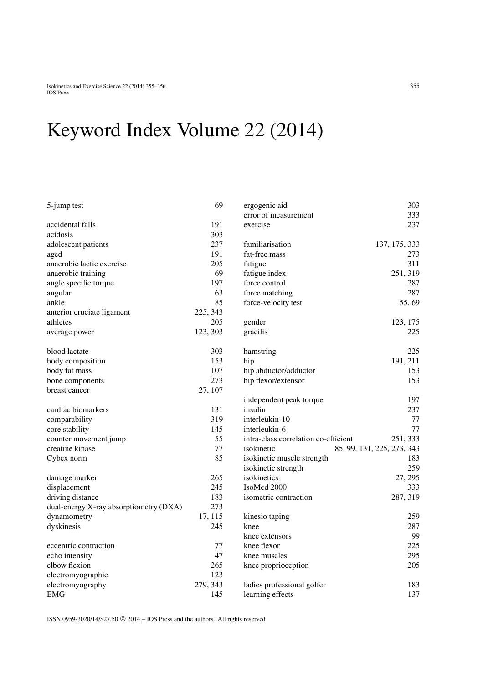## Keyword Index Volume 22 (2014)

| 5-jump test                            | 69       | ergogenic aid                        | 303                        |
|----------------------------------------|----------|--------------------------------------|----------------------------|
|                                        |          | error of measurement                 | 333                        |
| accidental falls                       | 191      | exercise                             | 237                        |
| acidosis                               | 303      |                                      |                            |
| adolescent patients                    | 237      | familiarisation                      | 137, 175, 333              |
| aged                                   | 191      | fat-free mass                        | 273                        |
| anaerobic lactic exercise              | 205      | fatigue                              | 311                        |
| anaerobic training                     | 69       | fatigue index                        | 251, 319                   |
| angle specific torque                  | 197      | force control                        | 287                        |
| angular                                | 63       | force matching                       | 287                        |
| ankle                                  | 85       | force-velocity test                  | 55,69                      |
| anterior cruciate ligament             | 225, 343 |                                      |                            |
| athletes                               | 205      | gender                               | 123, 175                   |
| average power                          | 123, 303 | gracilis                             | 225                        |
| blood lactate                          | 303      | hamstring                            | 225                        |
| body composition                       | 153      | hip                                  | 191, 211                   |
| body fat mass                          | 107      | hip abductor/adductor                | 153                        |
| bone components                        | 273      | hip flexor/extensor                  | 153                        |
| breast cancer                          | 27, 107  |                                      |                            |
|                                        |          | independent peak torque              | 197                        |
| cardiac biomarkers                     | 131      | insulin                              | 237                        |
| comparability                          | 319      | interleukin-10                       | 77                         |
| core stability                         | 145      | interleukin-6                        | 77                         |
| counter movement jump                  | 55       | intra-class correlation co-efficient | 251, 333                   |
| creatine kinase                        | 77       | isokinetic                           | 85, 99, 131, 225, 273, 343 |
| Cybex norm                             | 85       | isokinetic muscle strength           | 183                        |
|                                        |          | isokinetic strength                  | 259                        |
| damage marker                          | 265      | isokinetics                          | 27, 295                    |
| displacement                           | 245      | IsoMed 2000                          | 333                        |
| driving distance                       | 183      | isometric contraction                | 287, 319                   |
| dual-energy X-ray absorptiometry (DXA) | 273      |                                      |                            |
| dynamometry                            | 17, 115  | kinesio taping                       | 259                        |
| dyskinesis                             | 245      | knee                                 | 287                        |
|                                        |          | knee extensors                       | 99                         |
| eccentric contraction                  | 77       | knee flexor                          | 225                        |
| echo intensity                         | 47       | knee muscles                         | 295                        |
| elbow flexion                          | 265      | knee proprioception                  | 205                        |
| electromyographic                      | 123      |                                      |                            |
| electromyography                       | 279, 343 | ladies professional golfer           | 183                        |
| <b>EMG</b>                             | 145      | learning effects                     | 137                        |